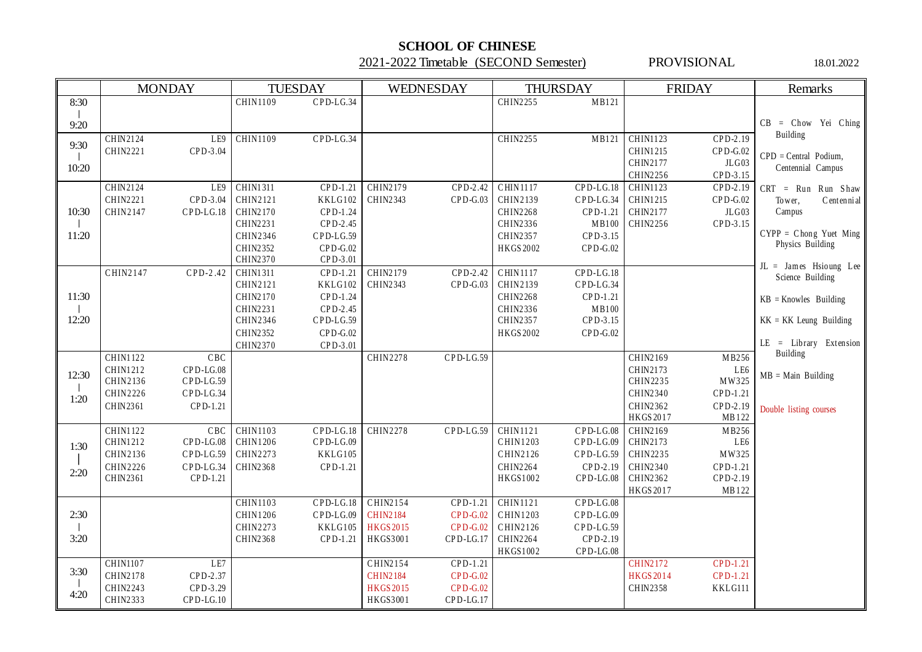## **SCHOOL OF CHINESE**

2021-2022 Timetable (SECOND Semester) PROVISIONAL 18.01.2022

|       | <b>MONDAY</b>                                    | <b>TUESDAY</b>                              | WEDNESDAY                           | <b>THURSDAY</b>                               | <b>FRIDAY</b>                               | Remarks                                    |
|-------|--------------------------------------------------|---------------------------------------------|-------------------------------------|-----------------------------------------------|---------------------------------------------|--------------------------------------------|
| 8:30  |                                                  | $CPD-LG.34$<br>CHIN1109                     |                                     | CHIN2255<br>MB121                             |                                             |                                            |
| 9:20  |                                                  |                                             |                                     |                                               |                                             | $CB = Chow$ Yei Ching                      |
|       | CHIN2124<br>LE9                                  | <b>CHIN1109</b><br>$CPD-LG.34$              |                                     | CHIN2255<br>MB121                             | <b>CHIN1123</b><br>CPD-2.19                 | Building                                   |
| 9:30  | CHIN2221<br>CPD-3.04                             |                                             |                                     |                                               | CHIN1215<br>$CPD-G.02$                      | $CPD = Central$ Podium,                    |
| 10:20 |                                                  |                                             |                                     |                                               | JLG03<br>CHIN2177                           | Centennial Campus                          |
|       |                                                  |                                             |                                     |                                               | CHIN2256<br>CPD-3.15                        |                                            |
|       | CHIN2124<br>LE9                                  | <b>CHIN1311</b><br>CPD-1.21                 | <b>CHIN2179</b><br>CPD-2.42         | <b>CHIN1117</b><br>$CPD-LG.18$                | CHIN1123<br>$CPD-2.19$                      | $CRT = Run Run Shaw$                       |
| 10:30 | CHIN2221<br>CPD-3.04<br>CHIN2147<br>$CPD-LG.18$  | CHIN2121<br>KKLG102<br>CHIN2170<br>CPD-1.24 | $CPD-G.03$<br>CHIN2343              | CHIN2139<br>CPD-LG.34<br>CHIN2268<br>CPD-1.21 | CHIN1215<br>$CPD-G.02$<br>JLG03<br>CHIN2177 | Centennial<br>Tower,<br>Campus             |
|       |                                                  | CHIN2231<br>CPD-2.45                        |                                     | CHIN2336<br>MB100                             | CHIN2256<br>CPD-3.15                        |                                            |
| 11:20 |                                                  | CHIN2346<br>$CPD-LG.59$                     |                                     | CHIN2357<br>CPD-3.15                          |                                             | $CYPP = Chong Yuet Ming$                   |
|       |                                                  | CHIN2352<br>$CPD-G.02$                      |                                     | HKGS 2002<br>$CPD-G.02$                       |                                             | Physics Building                           |
|       |                                                  | CHIN2370<br>CPD-3.01                        |                                     |                                               |                                             |                                            |
|       | CHIN2147<br>CPD-2.42                             | <b>CHIN1311</b><br>CPD-1.21                 | CHIN2179<br>CPD-2.42                | CHIN1117<br>$CPD-LG.18$                       |                                             | JL = James Hsioung Lee<br>Science Building |
|       |                                                  | CHIN2121<br>KKLG102                         | $CPD-G.03$<br>CHIN2343              | CHIN2139<br>$CPD-LG.34$                       |                                             |                                            |
| 11:30 |                                                  | CHIN2170<br>CPD-1.24                        |                                     | CHIN2268<br>CPD-1.21                          |                                             | $KB = Knowles$ Building                    |
|       |                                                  | CHIN2231<br>CPD-2.45                        |                                     | CHIN2336<br>MB100                             |                                             |                                            |
| 12:20 |                                                  | CHIN2346<br>$CPD-LG.59$                     |                                     | CHIN2357<br>CPD-3.15                          |                                             | $KK = KK$ Leung Building                   |
|       |                                                  | CHIN2352<br>$CPD-G.02$                      |                                     | HKGS 2002<br>$CPD-G.02$                       |                                             |                                            |
|       |                                                  | CHIN2370<br>CPD-3.01                        |                                     |                                               |                                             | $LE = Library Extension$<br>Building       |
|       | <b>CHIN1122</b><br>CBC                           |                                             | <b>CHIN2278</b><br>CPD-LG.59        |                                               | CHIN2169<br>MB256                           |                                            |
| 12:30 | CHIN1212<br>CPD-LG.08                            |                                             |                                     |                                               | CHIN2173<br>LE6                             | $MB = Main$ Building                       |
|       | CHIN2136<br>$CPD-LG.59$<br>CHIN2226<br>CPD-LG.34 |                                             |                                     |                                               | MW325<br>CHIN2235<br>CHIN2340<br>CPD-1.21   |                                            |
| 1:20  | CHIN2361<br>CPD-1.21                             |                                             |                                     |                                               | CHIN2362<br>CPD-2.19                        |                                            |
|       |                                                  |                                             |                                     |                                               | HKGS 2017<br>MB122                          | Double listing courses                     |
|       | CHIN1122<br>CBC                                  | CHIN1103<br>$CPD-LG.18$                     | CHIN2278<br>CPD-LG.59               | CHIN1121<br>$CPD-LG.08$                       | CHIN2169<br>MB256                           |                                            |
|       | CHIN1212<br>$CPD-LG.08$                          | CHIN1206<br>$CPD-LG.09$                     |                                     | CHIN1203<br>CPD-LG.09                         | CHIN2173<br>LE6                             |                                            |
| 1:30  | CHIN2136<br>$CPD-LG.59$                          | CHIN2273<br>KKLG105                         |                                     | CHIN2126<br>CPD-LG.59                         | MW325<br>CHIN2235                           |                                            |
|       | CHIN2226<br>$CPD-LG.34$                          | CHIN2368<br>CPD-1.21                        |                                     | CHIN2264<br>CPD-2.19                          | CHIN2340<br>CPD-1.21                        |                                            |
| 2:20  | CHIN2361<br>CPD-1.21                             |                                             |                                     | HKGS1002<br>$CPD-LG.08$                       | CHIN2362<br>CPD-2.19                        |                                            |
|       |                                                  |                                             |                                     |                                               | MB122<br>HKGS 2017                          |                                            |
|       |                                                  | <b>CHIN1103</b><br>$CPD-LG.18$              | CHIN2154<br>$CPD-1.21$              | <b>CHIN1121</b><br>$CPD-LG.08$                |                                             |                                            |
| 2:30  |                                                  | CHIN1206<br>$CPD-LG.09$                     | <b>CHIN2184</b><br>$CPD-G.02$       | CHIN1203<br>$CPD-LG.09$                       |                                             |                                            |
|       |                                                  | CHIN2273<br>KKLG105                         | <b>HKGS 2015</b><br><b>CPD-G.02</b> | CHIN2126<br>CPD-LG.59                         |                                             |                                            |
| 3:20  |                                                  | CHIN2368<br>CPD-1.21                        | HKGS3001<br>CPD-LG.17               | CPD-2.19<br>CHIN2264                          |                                             |                                            |
|       |                                                  |                                             |                                     | HKGS1002<br>CPD-LG.08                         |                                             |                                            |
| 3:30  | <b>CHIN1107</b><br>LE7                           |                                             | CHIN2154<br>CPD-1.21                |                                               | <b>CHIN2172</b><br>CPD-1.21                 |                                            |
|       | CHIN2178<br>CPD-2.37                             |                                             | <b>CHIN2184</b><br>$CPD-G.02$       |                                               | CPD-1.21<br>HKGS 2014                       |                                            |
| 4:20  | CHIN2243<br>CPD-3.29                             |                                             | $CPD-G.02$<br>HKGS 2015             |                                               | CHIN2358<br>KKLG111                         |                                            |
|       | CHIN2333<br>CPD-LG.10                            |                                             | CPD-LG.17<br>HKGS3001               |                                               |                                             |                                            |